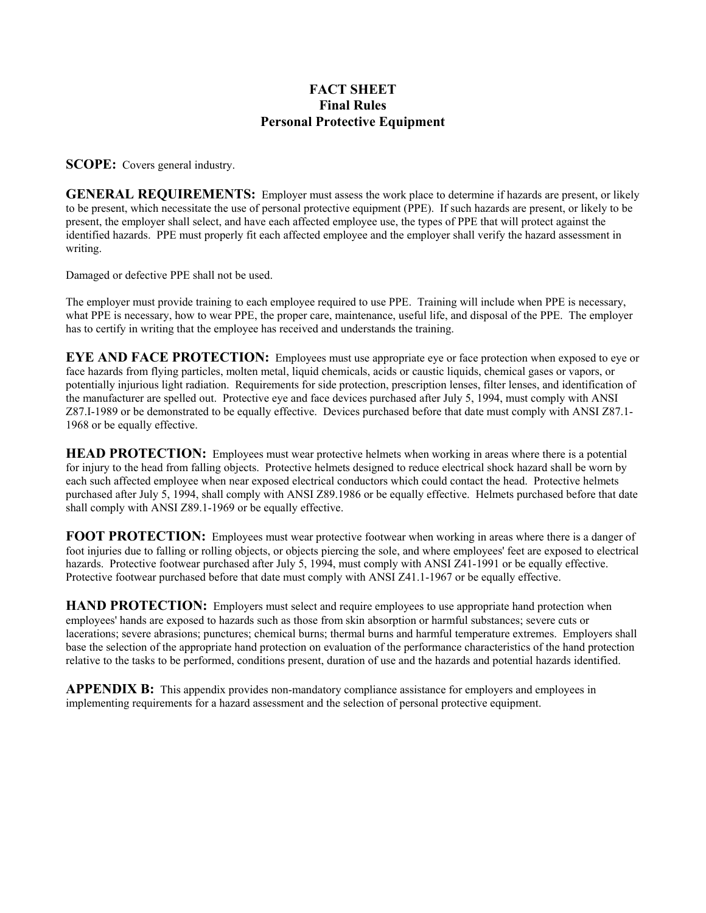## **FACT SHEET Final Rules Personal Protective Equipment**

**SCOPE:** Covers general industry.

**GENERAL REQUIREMENTS:** Employer must assess the work place to determine if hazards are present, or likely to be present, which necessitate the use of personal protective equipment (PPE). If such hazards are present, or likely to be present, the employer shall select, and have each affected employee use, the types of PPE that will protect against the identified hazards. PPE must properly fit each affected employee and the employer shall verify the hazard assessment in writing.

Damaged or defective PPE shall not be used.

The employer must provide training to each employee required to use PPE. Training will include when PPE is necessary, what PPE is necessary, how to wear PPE, the proper care, maintenance, useful life, and disposal of the PPE. The employer has to certify in writing that the employee has received and understands the training.

**EYE AND FACE PROTECTION:** Employees must use appropriate eye or face protection when exposed to eye or face hazards from flying particles, molten metal, liquid chemicals, acids or caustic liquids, chemical gases or vapors, or potentially injurious light radiation. Requirements for side protection, prescription lenses, filter lenses, and identification of the manufacturer are spelled out. Protective eye and face devices purchased after July 5, 1994, must comply with ANSI Z87.I-1989 or be demonstrated to be equally effective. Devices purchased before that date must comply with ANSI Z87.1- 1968 or be equally effective.

**HEAD PROTECTION:** Employees must wear protective helmets when working in areas where there is a potential for injury to the head from falling objects. Protective helmets designed to reduce electrical shock hazard shall be worn by each such affected employee when near exposed electrical conductors which could contact the head. Protective helmets purchased after July 5, 1994, shall comply with ANSI Z89.1986 or be equally effective. Helmets purchased before that date shall comply with ANSI Z89.1-1969 or be equally effective.

**FOOT PROTECTION:** Employees must wear protective footwear when working in areas where there is a danger of foot injuries due to falling or rolling objects, or objects piercing the sole, and where employees' feet are exposed to electrical hazards. Protective footwear purchased after July 5, 1994, must comply with ANSI Z41-1991 or be equally effective. Protective footwear purchased before that date must comply with ANSI Z41.1-1967 or be equally effective.

**HAND PROTECTION:** Employers must select and require employees to use appropriate hand protection when employees' hands are exposed to hazards such as those from skin absorption or harmful substances; severe cuts or lacerations; severe abrasions; punctures; chemical burns; thermal burns and harmful temperature extremes. Employers shall base the selection of the appropriate hand protection on evaluation of the performance characteristics of the hand protection relative to the tasks to be performed, conditions present, duration of use and the hazards and potential hazards identified.

**APPENDIX B:** This appendix provides non-mandatory compliance assistance for employers and employees in implementing requirements for a hazard assessment and the selection of personal protective equipment.